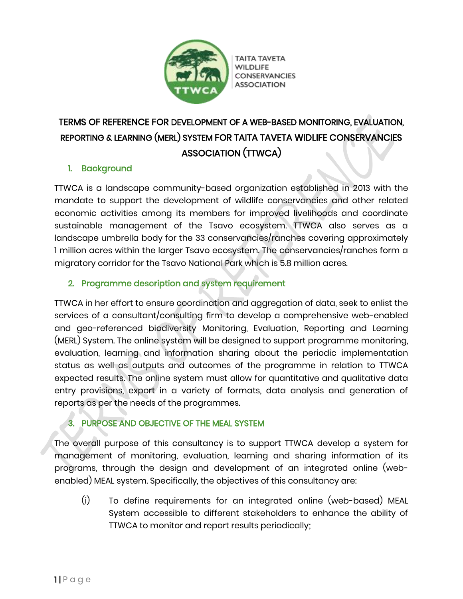

ΤΑΙΤΑ ΤΑΥΕΤΑ **CONSERVANCIES ASSOCIATION** 

# TERMS OF REFERENCE FOR DEVELOPMENT OF A WEB-BASED MONITORING, EVALUATION, REPORTING & LEARNING (MERL) SYSTEM FOR TAITA TAVETA WIDLIFE CONSERVANCIES ASSOCIATION (TTWCA)

# 1. Background

TTWCA is a landscape community-based organization established in 2013 with the mandate to support the development of wildlife conservancies and other related economic activities among its members for improved livelihoods and coordinate sustainable management of the Tsavo ecosystem. TTWCA also serves as a landscape umbrella body for the 33 conservancies/ranches covering approximately 1 million acres within the larger Tsavo ecosystem. The conservancies/ranches form a migratory corridor for the Tsavo National Park which is 5.8 million acres.

## 2. Programme description and system requirement

TTWCA in her effort to ensure coordination and aggregation of data, seek to enlist the services of a consultant/consulting firm to develop a comprehensive web-enabled and geo-referenced biodiversity Monitoring, Evaluation, Reporting and Learning (MERL) System. The online system will be designed to support programme monitoring, evaluation, learning and information sharing about the periodic implementation status as well as outputs and outcomes of the programme in relation to TTWCA expected results. The online system must allow for quantitative and qualitative data entry provisions, export in a variety of formats, data analysis and generation of reports as per the needs of the programmes.

# 3. PURPOSE AND OBJECTIVE OF THE MEAL SYSTEM

The overall purpose of this consultancy is to support TTWCA develop a system for management of monitoring, evaluation, learning and sharing information of its programs, through the design and development of an integrated online (webenabled) MEAL system. Specifically, the objectives of this consultancy are:

(i) To define requirements for an integrated online (web-based) MEAL System accessible to different stakeholders to enhance the ability of TTWCA to monitor and report results periodically;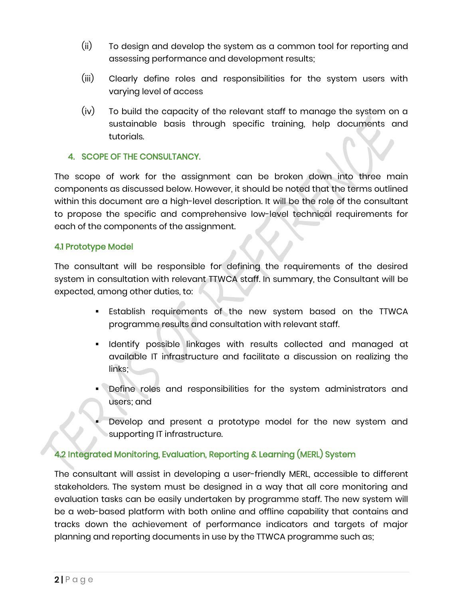- (ii) To design and develop the system as a common tool for reporting and assessing performance and development results;
- (iii) Clearly define roles and responsibilities for the system users with varying level of access
- (iv) To build the capacity of the relevant staff to manage the system on a sustainable basis through specific training, help documents and tutorials.

#### 4. SCOPE OF THE CONSULTANCY.

The scope of work for the assignment can be broken down into three main components as discussed below. However, it should be noted that the terms outlined within this document are a high-level description. It will be the role of the consultant to propose the specific and comprehensive low-level technical requirements for each of the components of the assignment.

#### 4.1 Prototype Model

The consultant will be responsible for defining the requirements of the desired system in consultation with relevant TTWCA staff. In summary, the Consultant will be expected, among other duties, to:

- **Establish requirements of the new system based on the TTWCA** programme results and consultation with relevant staff.
- Identify possible linkages with results collected and managed at available IT infrastructure and facilitate a discussion on realizing the links;
- Define roles and responsibilities for the system administrators and users; and
- Develop and present a prototype model for the new system and supporting IT infrastructure.

#### 4.2 Integrated Monitoring, Evaluation, Reporting & Learning (MERL) System

The consultant will assist in developing a user-friendly MERL, accessible to different stakeholders. The system must be designed in a way that all core monitoring and evaluation tasks can be easily undertaken by programme staff. The new system will be a web-based platform with both online and offline capability that contains and tracks down the achievement of performance indicators and targets of major planning and reporting documents in use by the TTWCA programme such as;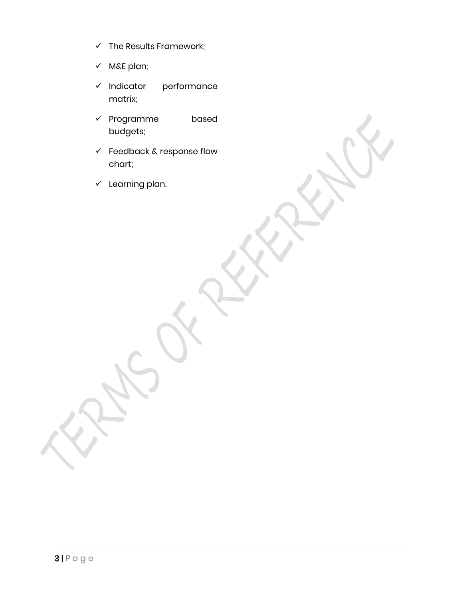- $\checkmark$  The Results Framework;
- ✓ M&E plan;
- ✓ Indicator performance matrix;
- ✓ Programme based budgets;
- ✓ Feedback & response flow chart;
- $\checkmark$  Learning plan.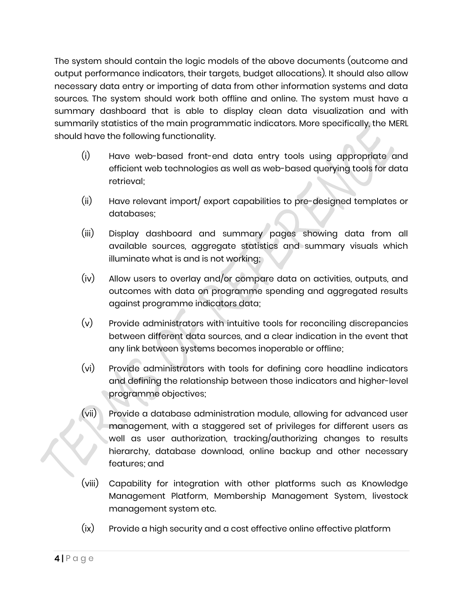The system should contain the logic models of the above documents (outcome and output performance indicators, their targets, budget allocations). It should also allow necessary data entry or importing of data from other information systems and data sources. The system should work both offline and online. The system must have a summary dashboard that is able to display clean data visualization and with summarily statistics of the main programmatic indicators. More specifically, the MERL should have the following functionality.

- (i) Have web-based front-end data entry tools using appropriate and efficient web technologies as well as web-based querying tools for data retrieval;
- (ii) Have relevant import/ export capabilities to pre-designed templates or databases;
- (iii) Display dashboard and summary pages showing data from all available sources, aggregate statistics and summary visuals which illuminate what is and is not working;
- (iv) Allow users to overlay and/or compare data on activities, outputs, and outcomes with data on programme spending and aggregated results against programme indicators data;
- (v) Provide administrators with intuitive tools for reconciling discrepancies between different data sources, and a clear indication in the event that any link between systems becomes inoperable or offline;
- (vi) Provide administrators with tools for defining core headline indicators and defining the relationship between those indicators and higher-level programme objectives;
- (vii) Provide a database administration module, allowing for advanced user management, with a staggered set of privileges for different users as well as user authorization, tracking/authorizing changes to results hierarchy, database download, online backup and other necessary features; and
- (viii) Capability for integration with other platforms such as Knowledge Management Platform, Membership Management System, livestock management system etc.
- (ix) Provide a high security and a cost effective online effective platform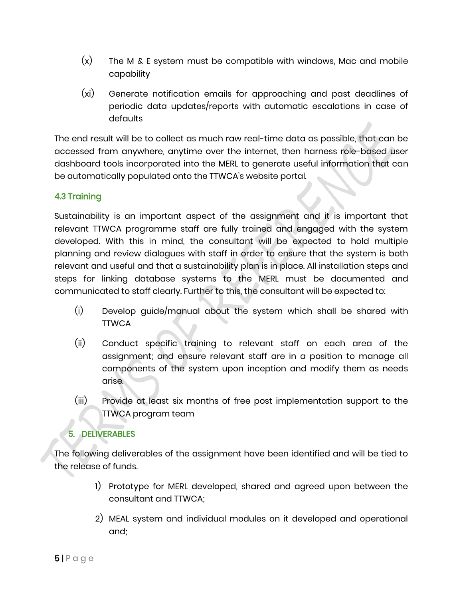- $(x)$  The M & E system must be compatible with windows, Mac and mobile capability
- (xi) Generate notification emails for approaching and past deadlines of periodic data updates/reports with automatic escalations in case of defaults

The end result will be to collect as much raw real-time data as possible, that can be accessed from anywhere, anytime over the internet, then harness role-based user dashboard tools incorporated into the MERL to generate useful information that can be automatically populated onto the TTWCA's website portal.

## 4.3 Training

Sustainability is an important aspect of the assignment and it is important that relevant TTWCA programme staff are fully trained and engaged with the system developed. With this in mind, the consultant will be expected to hold multiple planning and review dialogues with staff in order to ensure that the system is both relevant and useful and that a sustainability plan is in place. All installation steps and steps for linking database systems to the MERL must be documented and communicated to staff clearly. Further to this, the consultant will be expected to:

- (i) Develop guide/manual about the system which shall be shared with **TTWCA**
- (ii) Conduct specific training to relevant staff on each area of the assignment; and ensure relevant staff are in a position to manage all components of the system upon inception and modify them as needs arise.
- (iii) Provide at least six months of free post implementation support to the TTWCA program team

### 5. DELIVERABLES

The following deliverables of the assignment have been identified and will be tied to the release of funds.

- 1) Prototype for MERL developed, shared and agreed upon between the consultant and TTWCA;
- 2) MEAL system and individual modules on it developed and operational and;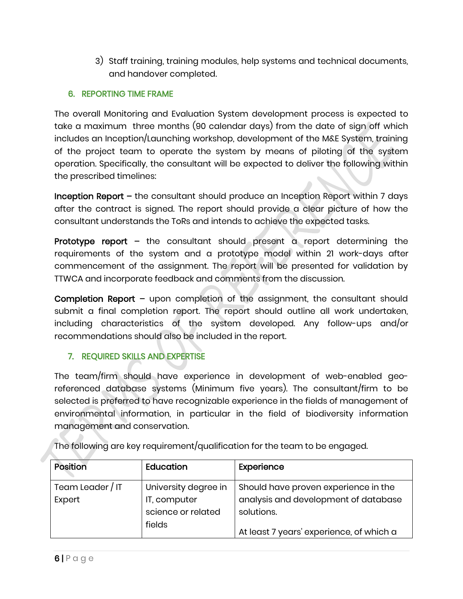3) Staff training, training modules, help systems and technical documents, and handover completed.

#### 6. REPORTING TIME FRAME

The overall Monitoring and Evaluation System development process is expected to take a maximum three months (90 calendar days) from the date of sign off which includes an Inception/Launching workshop, development of the M&E System, training of the project team to operate the system by means of piloting of the system operation. Specifically, the consultant will be expected to deliver the following within the prescribed timelines:

Inception Report – the consultant should produce an Inception Report within 7 days after the contract is signed. The report should provide a clear picture of how the consultant understands the ToRs and intends to achieve the expected tasks.

**Prototype report –** the consultant should present a report determining the requirements of the system and a prototype model within 21 work-days after commencement of the assignment. The report will be presented for validation by TTWCA and incorporate feedback and comments from the discussion.

Completion Report – upon completion of the assignment, the consultant should submit a final completion report. The report should outline all work undertaken, including characteristics of the system developed. Any follow-ups and/or recommendations should also be included in the report.

### 7. REQUIRED SKILLS AND EXPERTISE

The team/firm should have experience in development of web-enabled georeferenced database systems (Minimum five years). The consultant/firm to be selected is preferred to have recognizable experience in the fields of management of environmental information, in particular in the field of biodiversity information management and conservation.

| Position         | Education            | Experience                               |
|------------------|----------------------|------------------------------------------|
| Team Leader / IT | University degree in | Should have proven experience in the     |
| Expert           | IT, computer         | analysis and development of database     |
|                  | science or related   | solutions.                               |
|                  | fields               | At least 7 years' experience, of which a |

The following are key requirement/qualification for the team to be engaged.